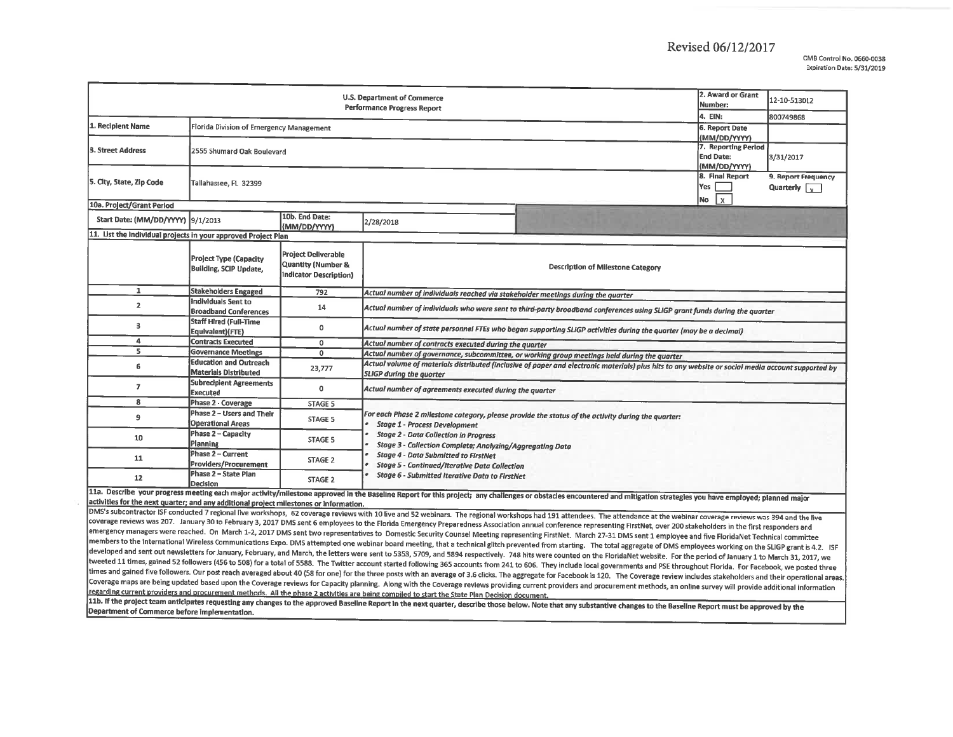Revised 06/12/2017

| 2. Award or Grant<br>U.S. Department of Commerce<br>Number:<br><b>Performance Progress Report</b>                                                                                                                                                                                                                                                                                                                                                          |                                                 |                                              |                                                                                                                                                    |                                                                                                                                                                                                                        |                    | 12-10-513012                   |  |  |  |
|------------------------------------------------------------------------------------------------------------------------------------------------------------------------------------------------------------------------------------------------------------------------------------------------------------------------------------------------------------------------------------------------------------------------------------------------------------|-------------------------------------------------|----------------------------------------------|----------------------------------------------------------------------------------------------------------------------------------------------------|------------------------------------------------------------------------------------------------------------------------------------------------------------------------------------------------------------------------|--------------------|--------------------------------|--|--|--|
| 4. EIN:                                                                                                                                                                                                                                                                                                                                                                                                                                                    |                                                 |                                              |                                                                                                                                                    |                                                                                                                                                                                                                        |                    | 800749868                      |  |  |  |
| 1. Recipient Name<br>Florida Division of Emergency Management                                                                                                                                                                                                                                                                                                                                                                                              |                                                 |                                              |                                                                                                                                                    |                                                                                                                                                                                                                        |                    |                                |  |  |  |
|                                                                                                                                                                                                                                                                                                                                                                                                                                                            |                                                 |                                              |                                                                                                                                                    |                                                                                                                                                                                                                        | (MM/DD/YYYY)       |                                |  |  |  |
| 3. Street Address                                                                                                                                                                                                                                                                                                                                                                                                                                          | 2555 Shumard Oak Boulevard                      |                                              | 7. Reporting Period<br><b>End Date:</b>                                                                                                            |                                                                                                                                                                                                                        |                    |                                |  |  |  |
|                                                                                                                                                                                                                                                                                                                                                                                                                                                            |                                                 |                                              | (MM/DD/YYYY)                                                                                                                                       | 3/31/2017                                                                                                                                                                                                              |                    |                                |  |  |  |
|                                                                                                                                                                                                                                                                                                                                                                                                                                                            | 8. Final Report<br>Tallahassee, FL 32399<br>Yes |                                              |                                                                                                                                                    |                                                                                                                                                                                                                        |                    | 9. Report Frequency            |  |  |  |
| 5. City, State, Zip Code                                                                                                                                                                                                                                                                                                                                                                                                                                   |                                                 |                                              |                                                                                                                                                    |                                                                                                                                                                                                                        |                    | Quarterly $\sqrt{\frac{1}{x}}$ |  |  |  |
|                                                                                                                                                                                                                                                                                                                                                                                                                                                            |                                                 |                                              |                                                                                                                                                    |                                                                                                                                                                                                                        |                    |                                |  |  |  |
| 10a. Project/Grant Period                                                                                                                                                                                                                                                                                                                                                                                                                                  |                                                 |                                              |                                                                                                                                                    |                                                                                                                                                                                                                        | $\mathsf{X}$<br>No |                                |  |  |  |
| Start Date: (MM/DD/YYYY) 9/1/2013                                                                                                                                                                                                                                                                                                                                                                                                                          |                                                 | 10b. End Date:                               |                                                                                                                                                    |                                                                                                                                                                                                                        |                    |                                |  |  |  |
|                                                                                                                                                                                                                                                                                                                                                                                                                                                            |                                                 | (MM/DD/YYYY)                                 | 2/28/2018                                                                                                                                          |                                                                                                                                                                                                                        |                    |                                |  |  |  |
| 11. List the individual projects in your approved Project Plan                                                                                                                                                                                                                                                                                                                                                                                             |                                                 |                                              |                                                                                                                                                    |                                                                                                                                                                                                                        |                    |                                |  |  |  |
|                                                                                                                                                                                                                                                                                                                                                                                                                                                            |                                                 |                                              |                                                                                                                                                    |                                                                                                                                                                                                                        |                    |                                |  |  |  |
|                                                                                                                                                                                                                                                                                                                                                                                                                                                            | <b>Project Type (Capacity</b>                   | <b>Project Deliverable</b>                   |                                                                                                                                                    |                                                                                                                                                                                                                        |                    |                                |  |  |  |
|                                                                                                                                                                                                                                                                                                                                                                                                                                                            | <b>Building, SCIP Update,</b>                   | Quantity (Number &<br>Indicator Description) |                                                                                                                                                    | <b>Description of Milestone Category</b>                                                                                                                                                                               |                    |                                |  |  |  |
|                                                                                                                                                                                                                                                                                                                                                                                                                                                            |                                                 |                                              |                                                                                                                                                    |                                                                                                                                                                                                                        |                    |                                |  |  |  |
| $\mathbf{1}$                                                                                                                                                                                                                                                                                                                                                                                                                                               | <b>Stakeholders Engaged</b>                     | 792                                          | Actual number of individuals reached via stakeholder meetings during the quarter                                                                   |                                                                                                                                                                                                                        |                    |                                |  |  |  |
| $\overline{2}$                                                                                                                                                                                                                                                                                                                                                                                                                                             | Individuals Sent to                             |                                              |                                                                                                                                                    |                                                                                                                                                                                                                        |                    |                                |  |  |  |
|                                                                                                                                                                                                                                                                                                                                                                                                                                                            | <b>Broadband Conferences</b>                    | 14                                           |                                                                                                                                                    | Actual number of individuals who were sent to third-party broadband conferences using SLIGP grant funds during the quarter                                                                                             |                    |                                |  |  |  |
| 3                                                                                                                                                                                                                                                                                                                                                                                                                                                          | <b>Staff Hired (Full-Time</b>                   | $\circ$                                      |                                                                                                                                                    |                                                                                                                                                                                                                        |                    |                                |  |  |  |
|                                                                                                                                                                                                                                                                                                                                                                                                                                                            | Equivalent)(FTE)                                |                                              |                                                                                                                                                    | Actual number of state personnel FTEs who began supporting SLIGP activities during the quarter (may be a decimal)                                                                                                      |                    |                                |  |  |  |
| 4                                                                                                                                                                                                                                                                                                                                                                                                                                                          | <b>Contracts Executed</b>                       | 0                                            | Actual number of contracts executed during the quarter                                                                                             |                                                                                                                                                                                                                        |                    |                                |  |  |  |
| 5                                                                                                                                                                                                                                                                                                                                                                                                                                                          | <b>Governance Meetings</b>                      | $\overline{0}$                               |                                                                                                                                                    | Actual number of governance, subcommittee, or working group meetings held during the quarter                                                                                                                           |                    |                                |  |  |  |
| 6                                                                                                                                                                                                                                                                                                                                                                                                                                                          | <b>Education and Outreach</b>                   | 23,777                                       | Actual volume of materials distributed (inclusive of paper and electronic materials) plus hits to any website or social media account supported by |                                                                                                                                                                                                                        |                    |                                |  |  |  |
|                                                                                                                                                                                                                                                                                                                                                                                                                                                            | <b>Materials Distributed</b>                    |                                              |                                                                                                                                                    |                                                                                                                                                                                                                        |                    |                                |  |  |  |
| $\overline{ }$                                                                                                                                                                                                                                                                                                                                                                                                                                             | <b>Subrecipient Agreements</b>                  | 0                                            | Actual number of agreements executed during the quarter                                                                                            |                                                                                                                                                                                                                        |                    |                                |  |  |  |
| 8                                                                                                                                                                                                                                                                                                                                                                                                                                                          | <b>Executed</b>                                 |                                              |                                                                                                                                                    |                                                                                                                                                                                                                        |                    |                                |  |  |  |
|                                                                                                                                                                                                                                                                                                                                                                                                                                                            | Phase 2 - Coverage                              | STAGE 5                                      |                                                                                                                                                    |                                                                                                                                                                                                                        |                    |                                |  |  |  |
| 9                                                                                                                                                                                                                                                                                                                                                                                                                                                          | Phase 2 - Users and Their                       | STAGE 5                                      |                                                                                                                                                    | For each Phase 2 milestone category, please provide the status of the activity during the quarter:                                                                                                                     |                    |                                |  |  |  |
|                                                                                                                                                                                                                                                                                                                                                                                                                                                            | <b>Operational Areas</b><br>Phase 2 - Capacity  |                                              | <b>Stage 1 - Process Development</b>                                                                                                               |                                                                                                                                                                                                                        |                    |                                |  |  |  |
| 10                                                                                                                                                                                                                                                                                                                                                                                                                                                         | Planning                                        | STAGE 5                                      | <b>Stage 2 - Data Collection in Progress</b>                                                                                                       |                                                                                                                                                                                                                        |                    |                                |  |  |  |
|                                                                                                                                                                                                                                                                                                                                                                                                                                                            | Phase 2 - Current                               |                                              | Stage 3 - Collection Complete; Analyzing/Aggregating Data<br><b>Stage 4 - Data Submitted to FirstNet</b>                                           |                                                                                                                                                                                                                        |                    |                                |  |  |  |
| 11                                                                                                                                                                                                                                                                                                                                                                                                                                                         | Providers/Procurement                           | STAGE 2                                      | <b>Stage 5 - Continued/Iterative Data Collection</b>                                                                                               |                                                                                                                                                                                                                        |                    |                                |  |  |  |
|                                                                                                                                                                                                                                                                                                                                                                                                                                                            | Phase 2 - State Plan                            |                                              |                                                                                                                                                    |                                                                                                                                                                                                                        |                    |                                |  |  |  |
| 12                                                                                                                                                                                                                                                                                                                                                                                                                                                         | <b>Decision</b>                                 | STAGE 2                                      | <b>Stage 6 - Submitted Iterative Data to FirstNet</b>                                                                                              |                                                                                                                                                                                                                        |                    |                                |  |  |  |
|                                                                                                                                                                                                                                                                                                                                                                                                                                                            |                                                 |                                              |                                                                                                                                                    | 11a. Describe your progress meeting each major activity/milestone approved in the Baseline Report for this project; any challenges or obstacles encountered and mitigation strategies you have employed; planned major |                    |                                |  |  |  |
| activities for the next quarter; and any additional project milestones or information.                                                                                                                                                                                                                                                                                                                                                                     |                                                 |                                              |                                                                                                                                                    |                                                                                                                                                                                                                        |                    |                                |  |  |  |
|                                                                                                                                                                                                                                                                                                                                                                                                                                                            |                                                 |                                              |                                                                                                                                                    |                                                                                                                                                                                                                        |                    |                                |  |  |  |
| DMS's subcontractor ISF conducted 7 regional live workshops, 62 coverage reviews with 10 live and 52 webinars. The regional workshops had 191 attendees. The attendance at the webinar coverage reviews was 394 and the live<br>coverage reviews was 207. January 30 to February 3, 2017 DMS sent 6 employees to the Florida Emergency Preparedness Association annual conference representing FirstNet, over 200 stakeholders in the first responders and |                                                 |                                              |                                                                                                                                                    |                                                                                                                                                                                                                        |                    |                                |  |  |  |
| emergency managers were reached. On March 1-2, 2017 DMS sent two representatives to Domestic Security Counsel Meeting representing FirstNet. March 27-31 DMS sent 1 employee and five FloridaNet Technical committee                                                                                                                                                                                                                                       |                                                 |                                              |                                                                                                                                                    |                                                                                                                                                                                                                        |                    |                                |  |  |  |
| members to the International Wireless Communications Expo. DMS attempted one webinar board meeting, that a technical glitch prevented from starting. The total aggregate of DMS employees working on the SLIGP grant is 4.2. I                                                                                                                                                                                                                             |                                                 |                                              |                                                                                                                                                    |                                                                                                                                                                                                                        |                    |                                |  |  |  |
| developed and sent out newsletters for January, February, and March, the letters were sent to 5353, 5709, and 5894 respectively. 748 hits were counted on the FloridaNet unbeite. For the posing of logical                                                                                                                                                                                                                                                |                                                 |                                              |                                                                                                                                                    |                                                                                                                                                                                                                        |                    |                                |  |  |  |

eveloped and sent out newsletters for January, repruary, and March, the letters were sent to 5353, 5709, and 5894 respectively. 748 hits were counted on the FloridaNet website. For the period of January 1 to March 31, 2017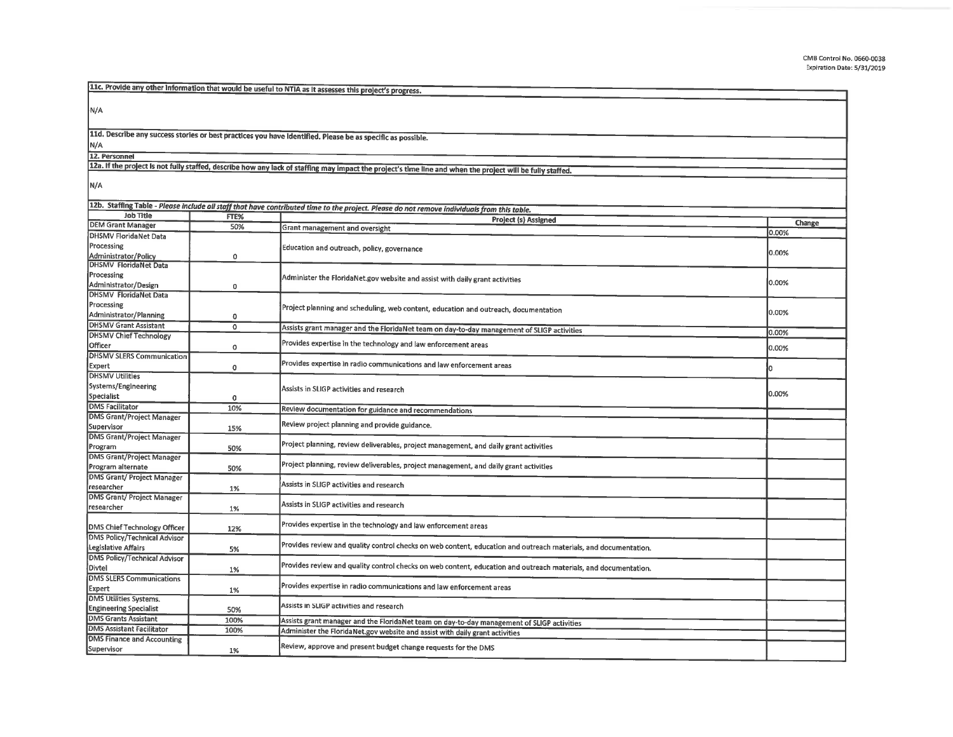|                                             |             | 11c. Provide any other information that would be useful to NTIA as It assesses this project's progress.                                                    |        |
|---------------------------------------------|-------------|------------------------------------------------------------------------------------------------------------------------------------------------------------|--------|
|                                             |             |                                                                                                                                                            |        |
| N/A                                         |             |                                                                                                                                                            |        |
|                                             |             |                                                                                                                                                            |        |
|                                             |             |                                                                                                                                                            |        |
|                                             |             | 11d. Describe any success stories or best practices you have identified. Please be as specific as possible.                                                |        |
| N/A                                         |             |                                                                                                                                                            |        |
| 12. Personnel                               |             |                                                                                                                                                            |        |
|                                             |             | 12a. If the project is not fully staffed, describe how any lack of staffing may impact the project's time line and when the project will be fully staffed. |        |
|                                             |             |                                                                                                                                                            |        |
| N/A                                         |             |                                                                                                                                                            |        |
|                                             |             |                                                                                                                                                            |        |
| <b>Job Title</b>                            | FTE%        | 12b. Staffing Table - Please include all staff that have contributed time to the project. Please do not remove individuals from this table.                |        |
| <b>DEM Grant Manager</b>                    | 50%         | Project (s) Assigned                                                                                                                                       | Change |
| DHSMV FloridaNet Data                       |             | Grant management and oversight                                                                                                                             | 0.00%  |
| Processing                                  |             |                                                                                                                                                            |        |
| Administrator/Policy                        | 0           | Education and outreach, policy, governance                                                                                                                 | 0.00%  |
| DHSMV FloridaNet Data                       |             |                                                                                                                                                            |        |
| Processing                                  |             | Administer the FloridaNet.gov website and assist with daily grant activities                                                                               |        |
| Administrator/Design                        | 0           |                                                                                                                                                            | 0.00%  |
| <b>DHSMV FloridaNet Data</b>                |             |                                                                                                                                                            |        |
| Processing                                  |             | Project planning and scheduling, web content, education and outreach, documentation                                                                        |        |
| Administrator/Planning                      | 0           |                                                                                                                                                            | 0.00%  |
| <b>DHSMV Grant Assistant</b>                | $^{\circ}$  | Assists grant manager and the FloridaNet team on day-to-day management of SLIGP activities                                                                 |        |
| <b>DHSMV Chief Technology</b>               |             |                                                                                                                                                            | 0.00%  |
| Officer                                     | 0           | Provides expertise in the technology and law enforcement areas                                                                                             | 0.00%  |
| <b>DHSMV SLERS Communication</b>            |             |                                                                                                                                                            |        |
| Expert                                      | $\mathbf 0$ | Provides expertise in radio communications and law enforcement areas                                                                                       |        |
| <b>DHSMV Utilities</b>                      |             |                                                                                                                                                            |        |
| Systems/Engineering                         |             | Assists in SLIGP activities and research                                                                                                                   | 0.00%  |
| <b>Specialist</b>                           | $\Omega$    |                                                                                                                                                            |        |
| <b>DMS Facilitator</b>                      | 10%         | Review documentation for guidance and recommendations                                                                                                      |        |
| <b>DMS Grant/Project Manager</b>            |             | Review project planning and provide guidance.                                                                                                              |        |
| Supervisor                                  | 15%         |                                                                                                                                                            |        |
| <b>DMS Grant/Project Manager</b><br>Program |             | Project planning, review deliverables, project management, and daily grant activities                                                                      |        |
| <b>DMS Grant/Project Manager</b>            | 50%         |                                                                                                                                                            |        |
| Program alternate                           |             | Project planning, review deliverables, project management, and daily grant activities                                                                      |        |
| <b>DMS Grant/ Project Manager</b>           | 50%         |                                                                                                                                                            |        |
| researcher                                  |             | Assists in SLIGP activities and research                                                                                                                   |        |
| <b>DMS Grant/ Project Manager</b>           | 1%          |                                                                                                                                                            |        |
| researcher                                  | 1%          | Assists in SLIGP activities and research                                                                                                                   |        |
|                                             |             |                                                                                                                                                            |        |
| <b>DMS Chief Technology Officer</b>         | 12%         | Provides expertise in the technology and law enforcement areas                                                                                             |        |
| <b>DMS Policy/Technical Advisor</b>         |             |                                                                                                                                                            |        |
| Legislative Affairs                         | 5%          | Provides review and quality control checks on web content, education and outreach materials, and documentation.                                            |        |
| <b>DMS Policy/Technical Advisor</b>         |             |                                                                                                                                                            |        |
| Divtel                                      | 1%          | Provides review and quality control checks on web content, education and outreach materials, and documentation.                                            |        |
| <b>DMS SLERS Communications</b>             |             |                                                                                                                                                            |        |
| Expert                                      | 1%          | Provides expertise in radio communications and law enforcement areas                                                                                       |        |
| <b>DMS Utilities Systems.</b>               |             |                                                                                                                                                            |        |
| <b>Engineering Specialist</b>               | 50%         | Assists in SLIGP activities and research                                                                                                                   |        |
| <b>DMS Grants Assistant</b>                 | 100%        | Assists grant manager and the FloridaNet team on day-to-day management of SLIGP activities                                                                 |        |
| <b>DMS Assistant Facilitator</b>            | 100%        | Administer the FloridaNet.gov website and assist with daily grant activities                                                                               |        |
| <b>DMS Finance and Accounting</b>           |             |                                                                                                                                                            |        |
| Supervisor                                  | 1%          | Review, approve and present budget change requests for the DMS                                                                                             |        |
|                                             |             |                                                                                                                                                            |        |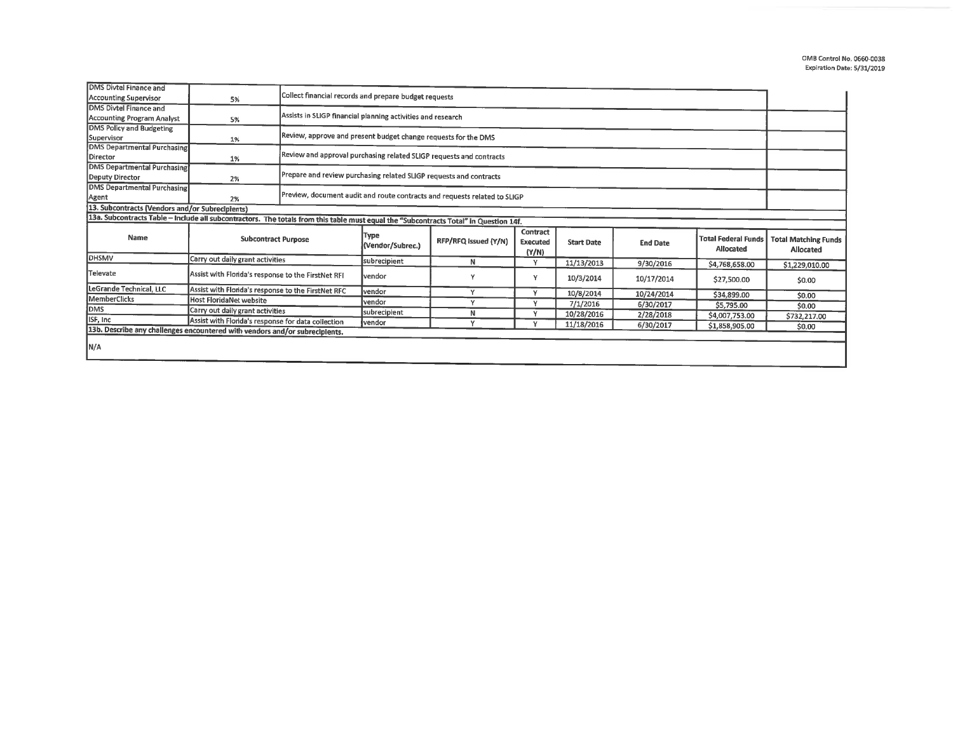| <b>DMS Divtel Finance and</b>                                                                                                         |                                                    |                                                                    |                                                                     |                                                                           |                      |                   |                 |                            |                             |
|---------------------------------------------------------------------------------------------------------------------------------------|----------------------------------------------------|--------------------------------------------------------------------|---------------------------------------------------------------------|---------------------------------------------------------------------------|----------------------|-------------------|-----------------|----------------------------|-----------------------------|
| Accounting Supervisor                                                                                                                 | 5%                                                 | Collect financial records and prepare budget requests              |                                                                     |                                                                           |                      |                   |                 |                            |                             |
| <b>DMS Divtel Finance and</b>                                                                                                         |                                                    |                                                                    |                                                                     |                                                                           |                      |                   |                 |                            |                             |
| Accounting Program Analyst                                                                                                            | 5%                                                 | Assists in SLIGP financial planning activities and research        |                                                                     |                                                                           |                      |                   |                 |                            |                             |
| <b>DMS Policy and Budgeting</b>                                                                                                       |                                                    |                                                                    |                                                                     |                                                                           |                      |                   |                 |                            |                             |
| Supervisor                                                                                                                            | 1%                                                 |                                                                    | Review, approve and present budget change requests for the DMS      |                                                                           |                      |                   |                 |                            |                             |
| <b>DMS Departmental Purchasing</b>                                                                                                    |                                                    |                                                                    |                                                                     |                                                                           |                      |                   |                 |                            |                             |
| Director                                                                                                                              | 1%                                                 |                                                                    | Review and approval purchasing related SLIGP requests and contracts |                                                                           |                      |                   |                 |                            |                             |
| <b>DMS Departmental Purchasing</b>                                                                                                    |                                                    |                                                                    |                                                                     |                                                                           |                      |                   |                 |                            |                             |
| Deputy Director                                                                                                                       | 2%                                                 | Prepare and review purchasing related SLIGP requests and contracts |                                                                     |                                                                           |                      |                   |                 |                            |                             |
| <b>DMS Departmental Purchasing</b>                                                                                                    |                                                    |                                                                    |                                                                     |                                                                           |                      |                   |                 |                            |                             |
| Agent                                                                                                                                 | 2%                                                 |                                                                    |                                                                     | Preview, document audit and route contracts and requests related to SLIGP |                      |                   |                 |                            |                             |
|                                                                                                                                       | 13. Subcontracts (Vendors and/or Subrecipients)    |                                                                    |                                                                     |                                                                           |                      |                   |                 |                            |                             |
| 13a. Subcontracts Table - Include all subcontractors. The totals from this table must equal the "Subcontracts Total" in Question 14f. |                                                    |                                                                    |                                                                     |                                                                           |                      |                   |                 |                            |                             |
|                                                                                                                                       |                                                    |                                                                    |                                                                     |                                                                           |                      |                   |                 |                            |                             |
|                                                                                                                                       |                                                    |                                                                    |                                                                     |                                                                           |                      |                   |                 |                            |                             |
| Name                                                                                                                                  | <b>Subcontract Purpose</b>                         |                                                                    | Type                                                                | RFP/RFQ issued (Y/N)                                                      | Contract<br>Executed |                   |                 | <b>Total Federal Funds</b> | <b>Total Matching Funds</b> |
|                                                                                                                                       |                                                    |                                                                    | (Vendor/Subrec.)                                                    |                                                                           |                      | <b>Start Date</b> | <b>End Date</b> | Allocated                  | Allocated                   |
| DHSMV                                                                                                                                 | Carry out daily grant activities                   |                                                                    | subrecipient                                                        | Ν                                                                         | (Y/N)<br>v           |                   |                 |                            |                             |
|                                                                                                                                       |                                                    |                                                                    |                                                                     |                                                                           |                      | 11/13/2013        | 9/30/2016       | \$4,768,658.00             | \$1,229,010.00              |
| Televate                                                                                                                              | Assist with Florida's response to the FirstNet RFI |                                                                    | vendor                                                              |                                                                           | ٧                    | 10/3/2014         | 10/17/2014      | \$27,500.00                | \$0.00                      |
| LeGrande Technical, LLC                                                                                                               | Assist with Florida's response to the FirstNet RFC |                                                                    | lvendor                                                             | $\checkmark$                                                              | $\checkmark$         |                   |                 |                            |                             |
| MemberClicks                                                                                                                          | <b>Host FloridaNet website</b>                     |                                                                    | lvendor                                                             | $\mathbf{v}$                                                              | v                    | 10/8/2014         | 10/24/2014      | \$34,899.00                | \$0.00                      |
| DMS                                                                                                                                   | Carry out daily grant activities                   |                                                                    | subrecipient                                                        | N                                                                         | v                    | 7/1/2016          | 6/30/2017       | \$5,795.00                 | \$0,00                      |
| ISF, Inc                                                                                                                              | Assist with Florida's response for data collection |                                                                    | vendor                                                              | $\checkmark$                                                              | v                    | 10/28/2016        | 2/28/2018       | \$4,007,753.00             | \$732,217.00                |
|                                                                                                                                       |                                                    |                                                                    |                                                                     |                                                                           |                      | 11/18/2016        | 6/30/2017       | \$1,858,905.00             | \$0.00                      |
| 13b. Describe any challenges encountered with vendors and/or subrecipients.                                                           |                                                    |                                                                    |                                                                     |                                                                           |                      |                   |                 |                            |                             |
| N/A                                                                                                                                   |                                                    |                                                                    |                                                                     |                                                                           |                      |                   |                 |                            |                             |